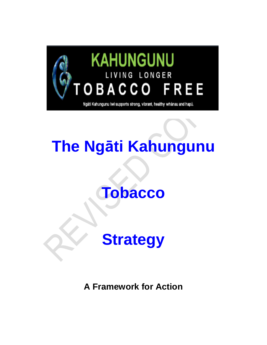

# **The Ngāti Kahungunu**

## **Tobacco**

# **Strategy**

**A Framework for Action**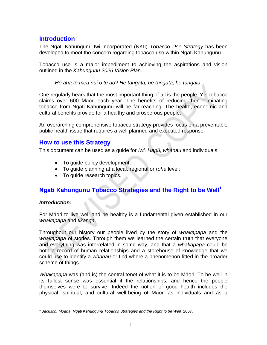## **Introduction**

The Ngāti Kahungunu Iwi Incorporated (NKII) *Tobacco Use Strategy* has been developed to meet the concern regarding tobacco use within Ngāti Kahungunu.

Tobacco use is a major impediment to achieving the aspirations and vision outlined in the *Kahungunu 2026 Vision Plan.*

*He aha te mea nui o te ao? He tāngata, he tāngata, he tāngata.*

One regularly hears that the most important thing of all is the people. Yet tobacco claims over 600 Māori each year. The benefits of reducing then eliminating tobacco from Ngāti Kahungunu will be far-reaching. The health, economic and cultural benefits provide for a healthy and prosperous people.

An overarching comprehensive tobacco strategy provides focus on a preventable public health issue that requires a well planned and executed response.

## **How to use this Strategy**

This document can be used as a guide for *Iwi, Hapū, whānau* and individuals.

- To guide policy development;
- To guide planning at a local, regional or *rohe* level;
- To quide research topics.

## **Ngāti Kahungunu Tobacco Strategies and the Right to be Well<sup>1</sup>**

#### *Introduction:*

 $\overline{a}$ 

For Māori to live well and be healthy is a fundamental given established in our *whakapapa* and *tikanga*.

Throughout our history our people lived by the story of *whakapapa* and the *whakapapa* of stories. Through them we learned the certain truth that everyone and everything was interrelated in some way, and that a *whakapapa* could be both a record of human relationships and a storehouse of knowledge that we could use to identify a *whānau* or find where a phenomenon fitted in the broader scheme of things.

*Whakapapa* was (and is) the central tenet of what it is to be Māori. To be well in its fullest sense was essential if the relationships, and hence the people themselves were to survive. Indeed the notion of good health includes the physical, spiritual, and cultural well-being of Māori as individuals and as a

<sup>&</sup>lt;sup>1</sup> Jackson, Moana, Ngāti Kahungunu Tobacco Strategies and the Right to be Well. 2007.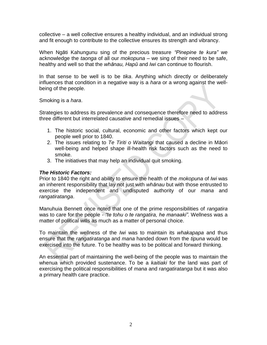collective – a well collective ensures a healthy individual, and an individual strong and fit enough to contribute to the collective ensures its strength and vibrancy.

When Ngāti Kahungunu sing of the precious treasure *"Pinepine te kura"* we acknowledge the *taonga* of all our *mokopuna* – we sing of their need to be safe, healthy and well so that the *whānau, Hapū* and *Iwi* can continue to flourish.

In that sense to be well is to be *tika*. Anything which directly or deliberately influences that condition in a negative way is a *hara* or a wrong against the wellbeing of the people.

Smoking is a *hara*.

Strategies to address its prevalence and consequence therefore need to address three different but interrelated causative and remedial issues –

- 1. The historic social, cultural, economic and other factors which kept our people well prior to 1840.
- 2. The issues relating to *Te Tiriti o Waitangi* that caused a decline in Māori well-being and helped shape ill-health risk factors such as the need to smoke.
- 3. The initiatives that may help an individual quit smoking.

#### *The Historic Factors:*

Prior to 1840 the right and ability to ensure the health of the *mokopuna* of *Iwi* was an inherent responsibility that lay not just with *whānau* but with those entrusted to exercise the independent and undisputed authority of our *mana* and *rangatiratanga*.

Manuhuia Bennett once noted that one of the prime responsibilities of *rangatira* was to care for the people - *"te tohu o te rangatira, he manaaki".* Wellness was a matter of political wills as much as a matter of personal choice.

To maintain the wellness of the *Iwi* was to maintain its *whakapapa* and thus ensure that the *rangatiratanga* and *mana* handed down from the *tipuna* would be exercised into the future. To be healthy was to be political and forward thinking.

An essential part of maintaining the well-being of the people was to maintain the whenua which provided sustenance. To be a *kaitiaki* for the land was part of exercising the political responsibilities of *mana* and *rangatiratanga* but it was also a primary health care practice.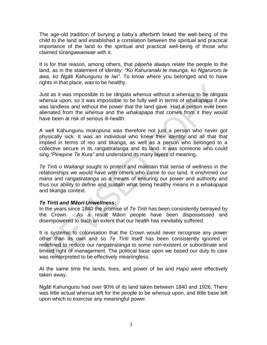The age-old tradition of burying a baby's afterbirth linked the well-being of the child to the land and established a correlation between the spiritual and practical importance of the land to the spiritual and practical well-being of those who claimed *tūrangawaewae* with it.

It is for that reason, among others, that *pēpeha* always relate the people to the land, as in the statement of identity: *"Ko Kahuranaki te maunga, ko Ngaruroro te awa, ko Ngāti Kahungunu te Iwi"*. To know where you belonged and to have rights in that place, was to be healthy.

Just as it was impossible to be *tāngata whenua* without a *whenua* to be *tāngata whenua* upon, so it was impossible to be fully well in terms of *whakapapa* if one was landless and without the power that the land gave. Had a person ever been alienated from the *whenua* and the *whakapapa* that comes from it they would have been at risk of serious ill-health.

A well Kahungunu *mokopuna* was therefore not just a person who never got physically sick. It was an individual who knew their identity and all that that implied in terms of reo and tikanga, as well as a person who belonged to a collective secure in its *rangatiratanga* and its land. It was someone who could sing *"Pinepine Te Kura"* and understand its many layers of meaning.

*Te Tiriti o Waitangi* sought to protect and maintain that sense of wellness in the relationships we would have with others who came to our land. It enshrined our *mana* and *rangatiratanga* as a means of ensuring our power and authority and thus our ability to define and sustain what being healthy means in a *whakapapa*  and *tikanga* context.

#### *Te Tiriti and Māori Unwellness:*

In the years since 1840 the promise of *Te Tiriti* has been consistently betrayed by the Crown. As a result Māori people have been dispossessed and disempowered to such an extent that our health has inevitably suffered.

It is systemic to colonisation that the Crown would never recognise any power other than its own and so *Te Tiriti* itself has been consistently ignored or redefined to reduce our *rangatiratanga* to some non-existent or subordinate and limited right of management. The political base upon we based our duty to care was reinterpreted to be effectively meaningless.

At the same time the lands, lives, and power of *Iwi* and *Hapū* were effectively taken away.

Ngāti Kahungunu had over 90% of its land taken between 1840 and 1926. There was little actual whenua left for the people to be *whenua* upon, and little base left upon which to exercise any meaningful power.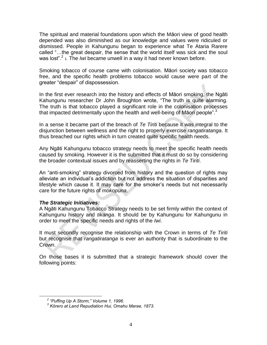The spiritual and material foundations upon which the Māori view of good health depended was also diminished as our knowledge and values were ridiculed or dismissed. People in Kahungunu began to experience what Te Ataria Rarere called "…the great despair, the sense that the world itself was sick and the soul was lost".<sup>2</sup> 1. The *Iwi* became unwell in a way it had never known before.

Smoking tobacco of course came with colonisation. Māori society was tobacco free, and the specific health problems tobacco would cause were part of the greater "despair" of dispossession.

In the first ever research into the history and effects of Māori smoking, the Ngāti Kahungunu researcher Dr John Broughton wrote, "The truth is quite alarming. The truth is that tobacco played a significant role in the colonisation processes that impacted detrimentally upon the health and well-being of Māori people".<sup>3</sup>

In a sense it became part of the breach of *Te Tiriti* because it was integral to the disjunction between wellness and the right to properly exercise *rangatiratanga*. It thus breached our rights which in turn created quite specific health needs.

Any Ngāti Kahungunu tobacco strategy needs to meet the specific health needs caused by smoking. However it is the submitted that it must do so by considering the broader contextual issues and by reasserting the rights in *Te Tiriti*.

An "anti-smoking" strategy divorced from history and the question of rights may alleviate an individual's addiction but not address the situation of disparities and lifestyle which cause it. It may care for the smoker's needs but not necessarily care for the future rights of *mokopuna*.

#### *The Strategic Initiatives:*

A Ngāti Kahungunu Tobacco Strategy needs to be set firmly within the context of Kahungunu history and *tikanga*. It should be by Kahungunu for Kahungunu in order to meet the specific needs and rights of the *Iwi*.

It must secondly recognise the relationship with the Crown in terms of *Te Tiriti* but recognise that *rangatiratanga* is ever an authority that is subordinate to the Crown.

On those bases it is submitted that a strategic framework should cover the following points:

 $\overline{a}$ 

*<sup>2</sup> "Puffing Up A Storm," Volume 1, 1996.*

*<sup>3</sup> Kōrero at Land Repudiation Hui, Omahu Marae, 1873.*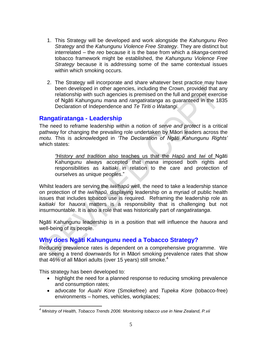- 1. This Strategy will be developed and work alongside the *Kahungunu Reo Strategy* and the *Kahungunu Violence Free Strategy*. They are distinct but interrelated – the *reo* because it is the base from which a *tikanga*-centred tobacco framework might be established, the *Kahungunu Violence Free Strategy* because it is addressing some of the same contextual issues within which smoking occurs.
- 2. The Strategy will incorporate and share whatever best practice may have been developed in other agencies, including the Crown, provided that any relationship with such agencies is premised on the full and proper exercise of Ngāti Kahungunu *mana* and *rangatiratanga* as guaranteed in the 1835 Declaration of Independence and *Te Tiriti o Waitangi*.

## **Rangatiratanga - Leadership**

The need to reframe leadership within a notion of *serve and protect* is a critical pathway for changing the prevailing role undertaken by Māori leaders across the *motu.* This is acknowledged in *'The Declaration of Ngāti Kahungunu Rights'*  which states:

*"History and tradition* also teaches us that the *Hapū* and *Iwi* of Ngāti Kahungunu always accepted that *mana* imposed both rights and responsibilities as *kaitiaki* in relation to the care and protection of ourselves as unique peoples."

Whilst leaders are serving the *iwi/hapū* well, the need to take a leadership stance on protection of the *iwi/hapū,* displaying leadership on a myriad of public health issues that includes tobacco use is required. Reframing the leadership role as *kaitiaki* for *hauora* matters is a responsibility that is challenging but not insurmountable. It is also a role that was historically part of *rangatiratanga*.

Ngāti Kahungunu leadership is in a position that will influence the *hauora* and well-being of its people.

## **Why does Ngāti Kahungunu need a Tobacco Strategy?**

Reducing prevalence rates is dependent on a comprehensive programme. We are seeing a trend downwards for in Māori smoking prevalence rates that show that 46% of all Māori adults (over 15 years) still smoke. $4$ 

This strategy has been developed to:

 $\overline{a}$ 

- highlight the need for a planned response to reducing smoking prevalence and consumption rates;
- advocate for *Auahi Kore* (Smokefree) and *Tupeka Kore* (tobacco-free) environments – homes, vehicles, workplaces;

*<sup>4</sup> Ministry of Health, Tobacco Trends 2006: Monitoring tobacco use in New Zealand, P.vii*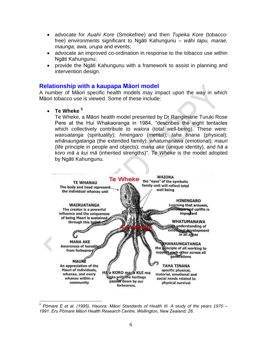- advocate for *Auahi Kore* (Smokefree) and then *Tupeka Kore* (tobaccofree) environments significant to Ngāti Kahungunu – *wāhi tapu, marae, maunga, awa, urupa* and events;
- advocate an improved co-ordination in response to the tobacco use within Ngāti Kahungunu;
- provide the Ngāti Kahungunu with a framework to assist in planning and intervention design.

#### **Relationship with a kaupapa Māori model**

A number of Māori specific health models may impact upon the way in which Māori tobacco use is viewed. Some of these include:

**Te Wheke <sup>5</sup>**

 $\overline{a}$ 

Te Wheke, a Māori health model presented by Dr Rangimarie Turuki Rose Pere at the Hui Whakaoranga in 1984, "describes the eight tentacles which collectively contribute to *waiora* (total well-being). These were: *wairuatanga* (spirituality); *hinengaro* (mental); *taha tinana* (physical); *whānaungatanga* (the extended family); *whatumanawa* (emotional); *mauri*  (life principle in people and objects); *mana ake* (unique identity), and *hā a koro mā a kui mā* (inherited strengths)". *Te Wheke* is the model adopted by Ngāti Kahungunu.



*<sup>5</sup> Pōmare E et al. (1995), Hauora: Māori Standards of Health III. A study of the years 1970 – 1991. Eru Pōmare Māori Health Research Centre, Wellington, New Zealand; 26.*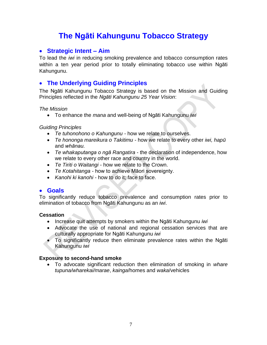## **The Ngāti Kahungunu Tobacco Strategy**

## **Strategic Intent – Aim**

To lead the *iwi* in reducing smoking prevalence and tobacco consumption rates within a ten year period prior to totally eliminating tobacco use within Ngāti Kahungunu.

## **The Underlying Guiding Principles**

The Ngāti Kahungunu Tobacco Strategy is based on the Mission and Guiding Principles reflected in the *Ngāti Kahungunu 25 Year Vision*:

#### *The Mission*

To enhance the *mana* and well-being of Ngāti Kahungunu *iwi* 

#### *Guiding Principles*

- *Te tuhonohono o Kahungunu* how we relate to ourselves.
- *Te hononga mareikura o Takitimu* how we relate to every other *iwi, hapū* and *whānau.*
- *Te whakaputanga o ngā Rangatira* the declaration of independence, how we relate to every other race and country in the world.
- *Te Tiriti o Waitangi* how we relate to the Crown.
- *Te Kotahitanga* how to achieve Māori sovereignty.
- *Kanohi ki kanohi* how to do it; face to face.

## **Goals**

To significantly reduce tobacco prevalence and consumption rates prior to elimination of tobacco from Ngāti Kahungunu as an *iwi*.

#### **Cessation**

- Increase quit attempts by smokers within the Ngāti Kahungunu *iwi*
- Advocate the use of national and regional cessation services that are culturally appropriate for Ngāti Kahungunu *iwi*
- To significantly reduce then eliminate prevalence rates within the Ngāti Kahungunu *iwi*

#### **Exposure to second-hand smoke**

 To advocate significant reduction then elimination of smoking in *whare tupuna/wharekai/marae*, *kainga*/homes and *waka*/vehicles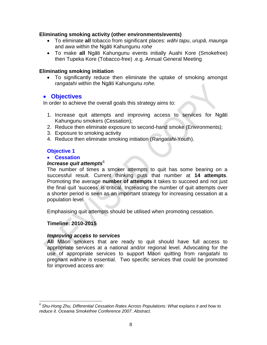#### **Eliminating smoking activity (other environments/events)**

- To eliminate **all** tobacco from significant places: *wāhi tapu*, *urupā, maunga*  and *awa* within the Ngāti Kahungunu *rohe*
- To make **all** Ngāti Kahungunu events initially Auahi Kore (Smokefree) then Tupeka Kore (Tobacco-free) .e.g. Annual General Meeting

#### **Eliminating smoking initiation**

 To significantly reduce then eliminate the uptake of smoking amongst *rangatahi* within the Ngāti Kahungunu *rohe.*

## **Objectives**

In order to achieve the overall goals this strategy aims to:

- 1. Increase quit attempts and improving access to services for Ngāti Kahungunu smokers (Cessation);
- 2. Reduce then eliminate exposure to second-hand smoke (Environments);
- 3. Exposure to smoking activity
- 4. Reduce then eliminate smoking initiation (*Rangatahi*-Youth).

#### **Objective 1**

#### **Cessation**

#### *Increase quit attempts*<sup>6</sup>

The number of times a smoker attempts to quit has some bearing on a successful result. Current thinking puts that number at **14 attempts**. Promoting the average **number of attempts** it takes to succeed and not just the final quit 'success' is critical. Increasing the number of quit attempts over a shorter period is seen as an important strategy for increasing cessation at a population level.

Emphasising quit attempts should be utilised when promoting cessation.

#### **Timeline: 2010-2015**

 $\overline{a}$ 

#### *Improving access to services*

**All** Māori smokers that are ready to quit should have full access to appropriate services at a national and/or regional level. Advocating for the use of appropriate services to support Māori quitting from *rangatahi* to pregnant *wāhine* is essential. Two specific services that could be promoted for improved access are:

*<sup>6</sup> Shu-Hong Zhu, Differential Cessation Rates Across Populations: What explains it and how to reduce it. Oceania Smokefree Conference 2007. Abstract.*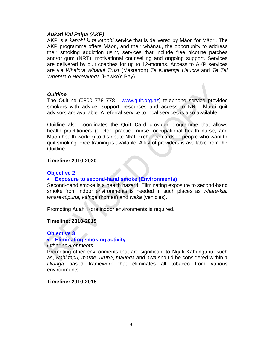#### *Aukati Kai Paipa (AKP)*

AKP is a *kanohi ki te kanohi* service that is delivered by Māori for Māori. The AKP programme offers Māori, and their whānau, the opportunity to address their smoking addiction using services that include free nicotine patches and/or gum (NRT), motivational counselling and ongoing support. Services are delivered by quit coaches for up to 12-months. Access to AKP services are via *Whaiora Whanui Trust* (Masterton) *Te Kupenga Hauora* and *Te Tai Whenua o Heretaunga* (Hawke's Bay).

#### *Quitline*

The Quitline (0800 778 778 - [www.quit.org.nz\)](http://www.quit.org.nz/) telephone service provides smokers with advice, support, resources and access to NRT. Māori quit advisors are available. A referral service to local services is also available.

Quitline also coordinates the **Quit Card** provider programme that allows health practitioners (doctor, practice nurse, occupational health nurse, and Māori health worker) to distribute NRT exchange cards to people who want to quit smoking. Free training is available. A list of providers is available from the Quitline.

#### **Timeline: 2010-2020**

#### **Objective 2**

#### **Exposure to second-hand smoke (Environments)**

Second-hand smoke is a health hazard. Eliminating exposure to second-hand smoke from indoor environments is needed in such places as *whare-kai, whare-tūpuna, kāinga* (homes) and *waka* (vehicles).

Promoting Auahi Kore indoor environments is required.

#### **Timeline: 2010-2015**

#### **Objective 3**

#### **Eliminating smoking activity**

*Other environments*

Promoting other environments that are significant to Ngāti Kahungunu, such as, *wāhi tapu, marae*, *urupā*, *maunga* and *awa* should be considered within a *tikanga* based framework that eliminates all tobacco from various environments.

#### **Timeline: 2010-2015**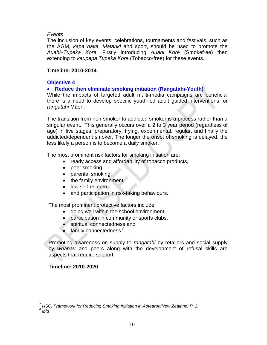#### *Events*

The inclusion of key events, celebrations, tournaments and festivals, such as the AGM, *kapa haka, Matariki* and sport, should be used to promote the *Auahi–Tupeka Kore*. Firstly introducing *Auahi Kore* (Smokefree) then extending to *kaupapa Tupeka Kore* (Tobacco-free) for these events.

#### **Timeline: 2010-2014**

#### **Objective 4**

#### **Reduce then eliminate smoking initiation (Rangatahi-Youth)**

While the impacts of targeted adult multi-media campaigns are beneficial there is a need to develop specific youth-led adult guided interventions for *rangatahi* Māori.

The transition from non-smoker to addicted smoker is a process rather than a singular event. This generally occurs over a 2 to 3 year period (regardless of age) in five stages: preparatory, trying, experimental, regular, and finally the addicted/dependent smoker. The longer the onset of smoking is delayed, the less likely a person is to become a daily smoker.

The most prominent risk factors for smoking initiation are:

- ready access and affordability of tobacco products,
- peer smoking,
- parental smoking,
- the family environment.
- low self-esteem,
- and participation in risk-taking behaviours.

The most prominent protective factors include:

- doing well within the school environment,
- participation in community or sports clubs,
- spiritual connectedness and
- $\bullet$  family connectedness.<sup>8</sup>

Promoting awareness on supply to *rangatahi* by retailers and social supply by *whānau* and peers along with the development of refusal skills are aspects that require support.

#### **Timeline: 2010-2020**

 $\overline{a}$ 

*<sup>7</sup> HSC, Framework for Reducing Smoking Initiation in Aotearoa/New Zealand, P. 2.*

*<sup>8</sup> Ibid*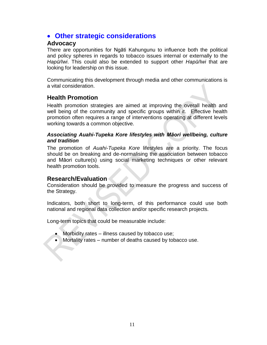## **Other strategic considerations**

#### **Advocacy**

There are opportunities for Ngāti Kahungunu to influence both the political and policy spheres in regards to tobacco issues internal or externally to the *Hapū/Iwi*. This could also be extended to support other *Hapū/Iwi* that are looking for leadership on this issue.

Communicating this development through media and other communications is a vital consideration.

## **Health Promotion**

Health promotion strategies are aimed at improving the overall health and well being of the community and specific groups within it. Effective health promotion often requires a range of interventions operating at different levels working towards a common objective.

#### *Associating Auahi-Tupeka Kore lifestyles with Māori wellbeing, culture and tradition*

The promotion of *Auahi-Tupeka Kore* lifestyles are a priority. The focus should be on breaking and de-normalising the association between tobacco and Māori culture(s) using social marketing techniques or other relevant health promotion tools.

#### **Research/Evaluation**

 $\rightarrow$ 

Consideration should be provided to measure the progress and success of the Strategy.

Indicators, both short to long-term, of this performance could use both national and regional data collection and/or specific research projects.

Long-term topics that could be measurable include:

- Morbidity rates illness caused by tobacco use;
- Mortality rates number of deaths caused by tobacco use.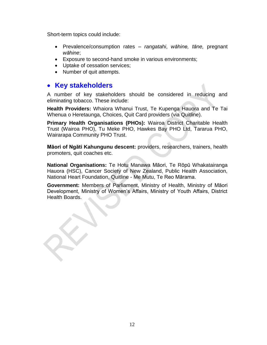Short-term topics could include:

- Prevalence/consumption rates *rangatahi*, *wāhine, tāne,* pregnant *wāhine*;
- Exposure to second-hand smoke in various environments;
- Uptake of cessation services;
- Number of quit attempts.

## **• Key stakeholders**

A number of key stakeholders should be considered in reducing and eliminating tobacco. These include:

**Health Providers:** Whaiora Whanui Trust, Te Kupenga Hauora and Te Tai Whenua o Heretaunga, Choices, Quit Card providers (via Quitline).

**Primary Health Organisations (PHOs):** Wairoa District Charitable Health Trust (Wairoa PHO), Tu Meke PHO, Hawkes Bay PHO Ltd, Tararua PHO, Wairarapa Community PHO Trust.

**Māori of Ngāti Kahungunu descent:** providers, researchers, trainers, health promoters, quit coaches etc.

**National Organisations:** Te Hotu Manawa Māori, Te Rōpū Whakatairanga Hauora (HSC), Cancer Society of New Zealand, Public Health Association, National Heart Foundation, Quitline - Me Mutu, Te Reo Mārama.

**Government:** Members of Parliament, Ministry of Health, Ministry of Māori Development, Ministry of Women's Affairs, Ministry of Youth Affairs, District Health Boards.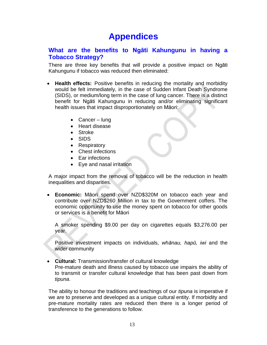## **Appendices**

## **What are the benefits to Ngāti Kahungunu in having a Tobacco Strategy?**

There are three key benefits that will provide a positive impact on Ngāti Kahungunu if tobacco was reduced then eliminated:

- **Health effects:** Positive benefits in reducing the mortality and morbidity would be felt immediately, in the case of Sudden Infant Death Syndrome (SIDS), or medium/long term in the case of lung cancer. There is a distinct benefit for Ngāti Kahungunu in reducing and/or eliminating significant health issues that impact disproportionately on Māori:
	- Cancer lung
	- Heart disease
	- Stroke
	- SIDS
	- Respiratory
	- Chest infections
	- Ear infections
	- Eye and nasal irritation

A major impact from the removal of tobacco will be the reduction in health inequalities and disparities.

 **Economic:** Māori spend over NZD\$320M on tobacco each year and contribute over NZD\$260 Million in tax to the Government coffers. The economic opportunity to use the money spent on tobacco for other goods or services is a benefit for Māori

A smoker spending \$9.00 per day on cigarettes equals \$3,276.00 per year.

Positive investment impacts on individuals, *whānau, hapū, iwi* and the wider community

 **Cultural:** Transmission/transfer of cultural knowledge Pre-mature death and illness caused by tobacco use impairs the ability of to transmit or transfer cultural knowledge that has been past down from *tipuna*.

The ability to honour the traditions and teachings of our *tipuna* is imperative if we are to preserve and developed as a unique cultural entity. If morbidity and pre-mature mortality rates are reduced then there is a longer period of transference to the generations to follow.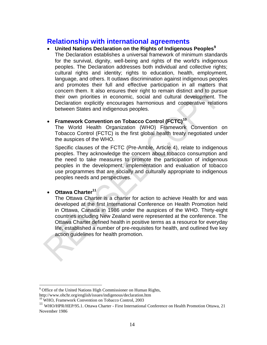## **Relationship with international agreements**

 **United Nations Declaration on the Rights of Indigenous Peoples<sup>9</sup>** The Declaration establishes a universal framework of minimum standards for the survival, dignity, well-being and rights of the world's indigenous peoples. The Declaration addresses both individual and collective rights; cultural rights and identity; rights to education, health, employment, language, and others. It outlaws discrimination against indigenous peoples and promotes their full and effective participation in all matters that concern them. It also ensures their right to remain distinct and to pursue their own priorities in economic, social and cultural development. The Declaration explicitly encourages harmonious and cooperative relations between States and indigenous peoples.

#### **Framework Convention on Tobacco Control (FCTC)<sup>10</sup>**

The World Health Organization (WHO) Framework Convention on Tobacco Control (FCTC) is the first global health treaty negotiated under the auspices of the WHO.

Specific clauses of the FCTC (Pre-Amble, Article 4), relate to indigenous peoples. They acknowledge the concern about tobacco consumption and the need to take measures to promote the participation of indigenous peoples in the development, implementation and evaluation of tobacco use programmes that are socially and culturally appropriate to indigenous peoples needs and perspectives.

**Ottawa Charter<sup>11</sup>**

 $\overline{a}$ 

The Ottawa Charter is a charter for action to achieve Health for and was developed at the first International Conference on Health Promotion held in Ottawa, Canada in 1986 under the auspices of the WHO. Thirty-eight countries including New Zealand were represented at the conference. The Ottawa Charter defined health in positive terms as a resource for everyday life, established a number of pre-requisites for health, and outlined five key action guidelines for health promotion.

<sup>&</sup>lt;sup>9</sup> Office of the United Nations High Commissioner on Human Rights,

http://www.ohchr.org/english/issues/indigenous/declaration.htm

<sup>&</sup>lt;sup>10</sup> WHO, Framework Convention on Tobacco Control, 2003

<sup>&</sup>lt;sup>11</sup> WHO/HPR/HEP/95.1. Ottawa Charter - First International Conference on Health Promotion Ottawa, 21 November 1986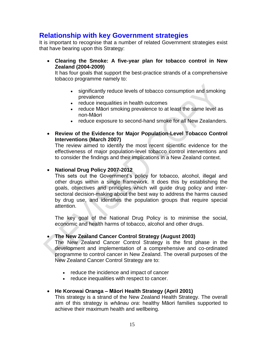## **Relationship with key Government strategies**

It is important to recognise that a number of related Government strategies exist that have bearing upon this Strategy:

 **Clearing the Smoke: A five-year plan for tobacco control in New Zealand (2004-2009)**

It has four goals that support the best-practice strands of a comprehensive tobacco programme namely to:

- significantly reduce levels of tobacco consumption and smoking prevalence
- reduce inequalities in health outcomes
- reduce Māori smoking prevalence to at least the same level as non-Māori
- reduce exposure to second-hand smoke for all New Zealanders.
- **Review of the Evidence for Major Population-Level Tobacco Control Interventions (March 2007)**

The review aimed to identify the most recent scientific evidence for the effectiveness of major population-level tobacco control interventions and to consider the findings and their implications in a New Zealand context.

#### **National Drug Policy 2007-2012**

This sets out the Government's policy for tobacco, alcohol, illegal and other drugs within a single framework. It does this by establishing the goals, objectives and principles which will guide drug policy and intersectoral decision-making about the best way to address the harms caused by drug use, and identifies the population groups that require special attention.

The key goal of the National Drug Policy is to minimise the social, economic and health harms of tobacco, alcohol and other drugs.

#### **The New Zealand Cancer Control Strategy (August 2003)**

The New Zealand Cancer Control Strategy is the first phase in the development and implementation of a comprehensive and co-ordinated programme to control cancer in New Zealand. The overall purposes of the New Zealand Cancer Control Strategy are to:

- reduce the incidence and impact of cancer
- reduce inequalities with respect to cancer.

#### **He Korowai Oranga – Māori Health Strategy (April 2001)**

This strategy is a strand of the New Zealand Health Strategy. The overall aim of this strategy is *whānau ora*: healthy Māori families supported to achieve their maximum health and wellbeing.